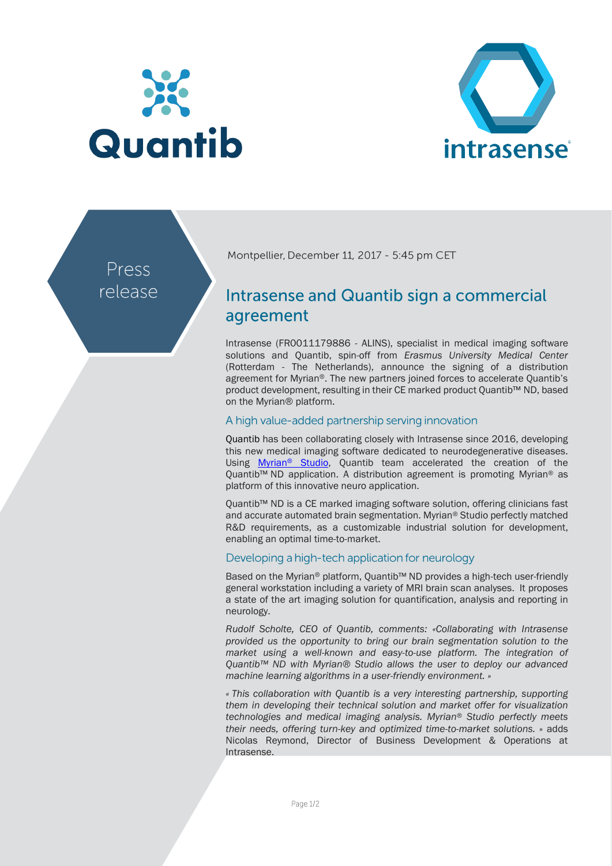



Press release Montpellier, December 11, 2017 - 5:45 pm CET

# Intrasense and Quantib sign a commercial agreement

Intrasense (FR0011179886 - ALINS), specialist in medical imaging software solutions and Quantib, spin-off from *Erasmus University Medical Center*  (Rotterdam - The Netherlands), announce the signing of a distribution agreement for Myrian®. The new partners joined forces to accelerate Quantib's product development, resulting in their CE marked product Quantib™ ND, based on the Myrian® platform.

### A high value-added partnership serving innovation

Quantib has been collaborating closely with Intrasense since 2016, developing this new medical imaging software dedicated to neurodegenerative diseases. Using [Myrian](http://www.intrasense.fr/wp-content/uploads/2017/09/press-release_Strategy2017-20170928-EN.pdf)<sup>®</sup> Studio, Quantib team accelerated the creation of the Quantib™ ND application. A distribution agreement is promoting Myrian<sup>®</sup> as platform of this innovative neuro application.

Quantib™ ND is a CE marked imaging software solution, offering clinicians fast and accurate automated brain segmentation. Myrian® Studio perfectly matched R&D requirements, as a customizable industrial solution for development, enabling an optimal time-to-market.

## Developing a high-tech application for neurology

Based on the Myrian® platform, Quantib™ ND provides a high-tech user-friendly general workstation including a variety of MRI brain scan analyses. It proposes a state of the art imaging solution for quantification, analysis and reporting in neurology.

*Rudolf Scholte, CEO of Quantib, comments: «Collaborating with Intrasense provided us the opportunity to bring our brain segmentation solution to the market using a well-known and easy-to-use platform. The integration of Quantib™ ND with Myrian® Studio allows the user to deploy our advanced machine learning algorithms in a user-friendly environment. »*

*« This collaboration with Quantib is a very interesting partnership, supporting them in developing their technical solution and market offer for visualization technologies and medical imaging analysis. Myrian*® *Studio perfectly meets their needs, offering turn-key and optimized time-to-market solutions. »* adds Nicolas Reymond, Director of Business Development & Operations at Intrasense.